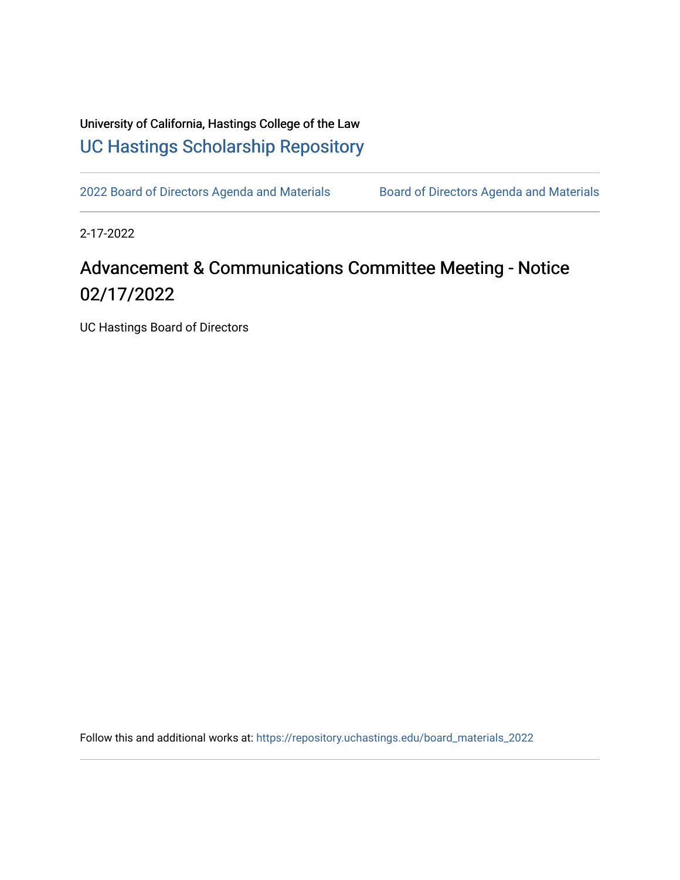University of California, Hastings College of the Law [UC Hastings Scholarship Repository](https://repository.uchastings.edu/) 

[2022 Board of Directors Agenda and Materials](https://repository.uchastings.edu/board_materials_2022) Board of Directors Agenda and Materials

2-17-2022

## Advancement & Communications Committee Meeting - Notice 02/17/2022

UC Hastings Board of Directors

Follow this and additional works at: [https://repository.uchastings.edu/board\\_materials\\_2022](https://repository.uchastings.edu/board_materials_2022?utm_source=repository.uchastings.edu%2Fboard_materials_2022%2F13&utm_medium=PDF&utm_campaign=PDFCoverPages)